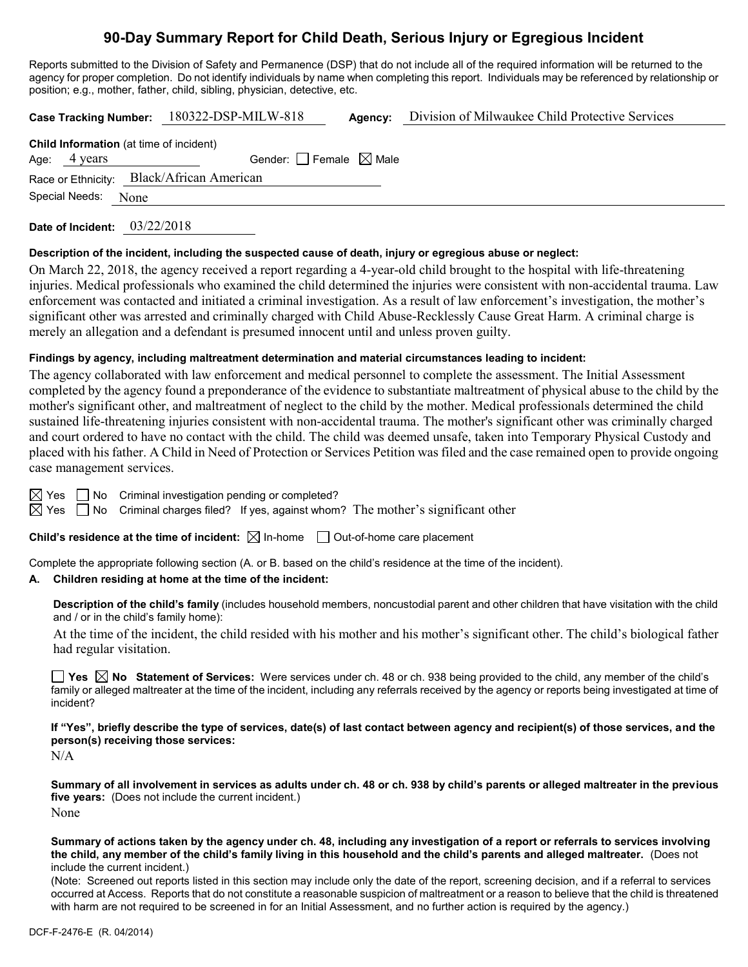# **90-Day Summary Report for Child Death, Serious Injury or Egregious Incident**

Reports submitted to the Division of Safety and Permanence (DSP) that do not include all of the required information will be returned to the agency for proper completion. Do not identify individuals by name when completing this report. Individuals may be referenced by relationship or position; e.g., mother, father, child, sibling, physician, detective, etc.

**Case Tracking Number:** 180322-DSP-MILW-818 **Agency:** Division of Milwaukee Child Protective Services

|                     |                        | <b>Child Information</b> (at time of incident) |
|---------------------|------------------------|------------------------------------------------|
|                     | Age: $4 \text{ years}$ | Gender: $\Box$ Female $\boxtimes$ Male         |
|                     |                        | Race or Ethnicity: Black/African American      |
| Special Needs: None |                        |                                                |

**Date of Incident:** 03/22/2018

## **Description of the incident, including the suspected cause of death, injury or egregious abuse or neglect:**

On March 22, 2018, the agency received a report regarding a 4-year-old child brought to the hospital with life-threatening injuries. Medical professionals who examined the child determined the injuries were consistent with non-accidental trauma. Law enforcement was contacted and initiated a criminal investigation. As a result of law enforcement's investigation, the mother's significant other was arrested and criminally charged with Child Abuse-Recklessly Cause Great Harm. A criminal charge is merely an allegation and a defendant is presumed innocent until and unless proven guilty.

## **Findings by agency, including maltreatment determination and material circumstances leading to incident:**

The agency collaborated with law enforcement and medical personnel to complete the assessment. The Initial Assessment completed by the agency found a preponderance of the evidence to substantiate maltreatment of physical abuse to the child by the mother's significant other, and maltreatment of neglect to the child by the mother. Medical professionals determined the child sustained life-threatening injuries consistent with non-accidental trauma. The mother's significant other was criminally charged and court ordered to have no contact with the child. The child was deemed unsafe, taken into Temporary Physical Custody and placed with his father. A Child in Need of Protection or Services Petition was filed and the case remained open to provide ongoing case management services.

 $\boxtimes$  Yes  $\Box$  No Criminal investigation pending or completed?

 $\boxtimes$  Yes  $\Box$  No Criminal charges filed? If yes, against whom? The mother's significant other

**Child's residence at the time of incident:**  $\boxtimes$  In-home  $\Box$  Out-of-home care placement

Complete the appropriate following section (A. or B. based on the child's residence at the time of the incident).

## **A. Children residing at home at the time of the incident:**

**Description of the child's family** (includes household members, noncustodial parent and other children that have visitation with the child and / or in the child's family home):

At the time of the incident, the child resided with his mother and his mother's significant other. The child's biological father had regular visitation.

**Yes No Statement of Services:** Were services under ch. 48 or ch. 938 being provided to the child, any member of the child's family or alleged maltreater at the time of the incident, including any referrals received by the agency or reports being investigated at time of incident?

**If "Yes", briefly describe the type of services, date(s) of last contact between agency and recipient(s) of those services, and the person(s) receiving those services:**

N/A

**Summary of all involvement in services as adults under ch. 48 or ch. 938 by child's parents or alleged maltreater in the previous five years:** (Does not include the current incident.) None

**Summary of actions taken by the agency under ch. 48, including any investigation of a report or referrals to services involving the child, any member of the child's family living in this household and the child's parents and alleged maltreater.** (Does not include the current incident.)

(Note: Screened out reports listed in this section may include only the date of the report, screening decision, and if a referral to services occurred at Access. Reports that do not constitute a reasonable suspicion of maltreatment or a reason to believe that the child is threatened with harm are not required to be screened in for an Initial Assessment, and no further action is required by the agency.)